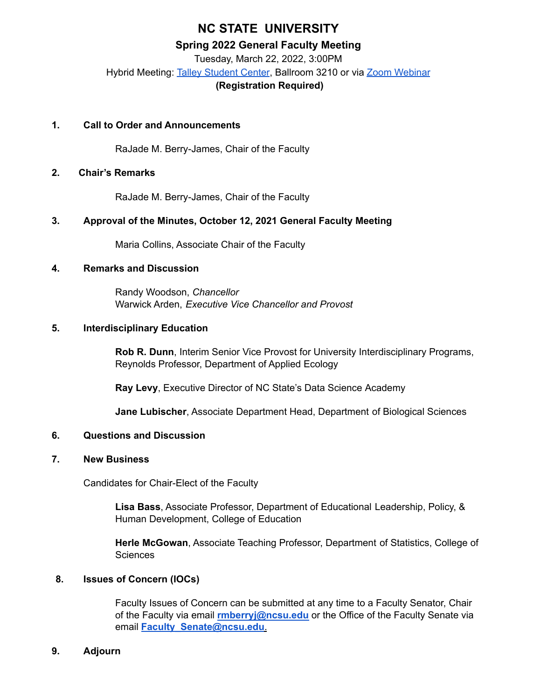# **NC STATE UNIVERSITY**

### **Spring 2022 General Faculty Meeting**

Tuesday, March 22, 2022, 3:00PM Hybrid Meeting: Talley [Student](https://docs.google.com/forms/d/e/1FAIpQLSeaYrKKtrD-6cFX6hfeO_A15qiLSmJY0LEFokhaaLDfwHCgyg/viewform?usp=sf_link) Center, Ballroom 3210 or via Zoom [Webinar](https://ncsu.zoom.us/webinar/register/WN_G5XkxbHMRcyjaQP5Y6Bkxg) **(Registration Required)**

### **1. Call to Order and Announcements**

RaJade M. Berry-James, Chair of the Faculty

# **2. Chair's Remarks**

RaJade M. Berry-James, Chair of the Faculty

# **3. Approval of the Minutes, October 12, 2021 General Faculty Meeting**

Maria Collins, Associate Chair of the Faculty

# **4. Remarks and Discussion**

Randy Woodson, *Chancellor* Warwick Arden, *Executive Vice Chancellor and Provost*

### **5. Interdisciplinary Education**

**Rob R. Dunn**, Interim Senior Vice Provost for University Interdisciplinary Programs, Reynolds Professor, Department of Applied Ecology

**Ray Levy**, Executive Director of NC State's Data Science Academy

**Jane Lubischer**, Associate Department Head, Department of Biological Sciences

### **6. Questions and Discussion**

### **7. New Business**

Candidates for Chair-Elect of the Faculty

**Lisa Bass**, Associate Professor, Department of Educational Leadership, Policy, & Human Development, College of Education

**Herle McGowan**, Associate Teaching Professor, Department of Statistics, College of **Sciences** 

### **8. Issues of Concern (IOCs)**

Faculty Issues of Concern can be submitted at any time to a Faculty Senator, Chair of the Faculty via email **rmberryj@ncsu.edu** or the Office of the Faculty Senate via email **Faculty\_Senate@ncsu.edu**.

### **9. Adjourn**